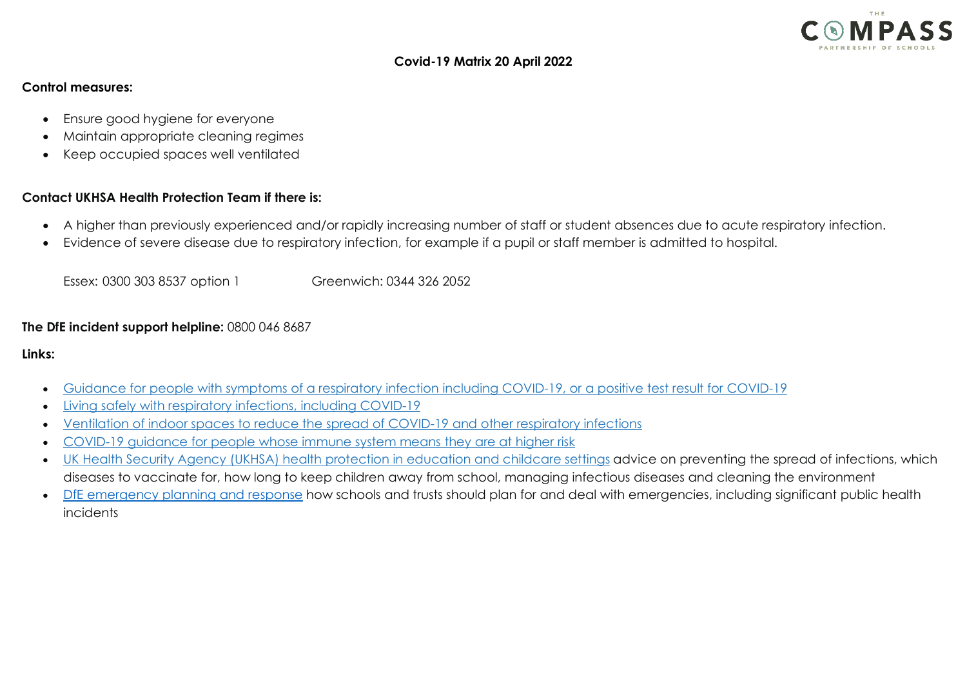

### **Covid-19 Matrix 20 April 2022**

### **Control measures:**

- Ensure good hygiene for everyone
- Maintain appropriate cleaning regimes
- Keep occupied spaces well ventilated

# **Contact UKHSA Health Protection Team if there is:**

- A higher than previously experienced and/or rapidly increasing number of staff or student absences due to acute respiratory infection.
- Evidence of severe disease due to respiratory infection, for example if a pupil or staff member is admitted to hospital.

Essex: [0300 303 8537 option 1](tel://0300%20303%208537%20option%201/) Greenwich: [0344 326 2052](tel://0344%20326%202052/) 

## **The DfE incident support helpline:** 0800 046 8687

#### **Links:**

- [Guidance for people with symptoms of a respiratory infection including COVID-19, or a positive test result for COVID-19](https://eur01.safelinks.protection.outlook.com/?url=https%3A%2F%2Fwww.gov.uk%2Fguidance%2Fpeople-with-symptoms-of-a-respiratory-infection-including-covid-19%3Futm_source%3D01%2520April%25202022%2520C19%26utm_medium%3DDaily%2520Email%2520C19%26utm_campaign%3DDfE%2520C19&data=04%7C01%7Ckjarrett%40compassps.uk%7Cc6c24a8313144fe1fdb008da160e5854%7Cf1c488425a3e4a7398d9cdd4b5f00899%7C0%7C0%7C637846548132934168%7CUnknown%7CTWFpbGZsb3d8eyJWIjoiMC4wLjAwMDAiLCJQIjoiV2luMzIiLCJBTiI6Ik1haWwiLCJXVCI6Mn0%3D%7C3000&sdata=dnrdDE1YvvUpqp8AVB8a4j43Qks1JwvFIWNnPVGvMpA%3D&reserved=0)
- [Living safely with respiratory infections, including COVID-19](https://eur01.safelinks.protection.outlook.com/?url=https%3A%2F%2Fwww.gov.uk%2Fguidance%2Fliving-safely-with-respiratory-infections-including-covid-19%3Futm_source%3D01%2520April%25202022%2520C19%26utm_medium%3DDaily%2520Email%2520C19%26utm_campaign%3DDfE%2520C19&data=04%7C01%7Ckjarrett%40compassps.uk%7Cc6c24a8313144fe1fdb008da160e5854%7Cf1c488425a3e4a7398d9cdd4b5f00899%7C0%7C0%7C637846548132934168%7CUnknown%7CTWFpbGZsb3d8eyJWIjoiMC4wLjAwMDAiLCJQIjoiV2luMzIiLCJBTiI6Ik1haWwiLCJXVCI6Mn0%3D%7C3000&sdata=tSkLS1lgYJkL0TVpaCnpib%2BwVX2vPVacbS4HfhyZmHU%3D&reserved=0)
- [Ventilation of indoor spaces to reduce the spread of COVID-19 and other respiratory infections](https://eur01.safelinks.protection.outlook.com/?url=https%3A%2F%2Fwww.gov.uk%2Fgovernment%2Fpublications%2Fcovid-19-ventilation-of-indoor-spaces-to-stop-the-spread-of-coronavirus%2Fventilation-of-indoor-spaces-to-stop-the-spread-of-coronavirus-covid-19%3Futm_source%3D01%2520April%25202022%2520C19%26utm_medium%3DDaily%2520Email%2520C19%26utm_campaign%3DDfE%2520C19&data=04%7C01%7Ckjarrett%40compassps.uk%7Cc6c24a8313144fe1fdb008da160e5854%7Cf1c488425a3e4a7398d9cdd4b5f00899%7C0%7C0%7C637846548132934168%7CUnknown%7CTWFpbGZsb3d8eyJWIjoiMC4wLjAwMDAiLCJQIjoiV2luMzIiLCJBTiI6Ik1haWwiLCJXVCI6Mn0%3D%7C3000&sdata=s%2FywByMOI3xZBPehkxS%2F0L6LlKSRiq04%2BLiwdM5GYfM%3D&reserved=0)
- [COVID-19 guidance for people whose immune system means they are at higher risk](https://eur01.safelinks.protection.outlook.com/?url=https%3A%2F%2Fwww.gov.uk%2Fgovernment%2Fpublications%2Fcovid-19-guidance-for-people-whose-immune-system-means-they-are-at-higher-risk%3Futm_source%3D01%2520April%25202022%2520C19%26utm_medium%3DDaily%2520Email%2520C19%26utm_campaign%3DDfE%2520C19&data=04%7C01%7Ckjarrett%40compassps.uk%7Cc6c24a8313144fe1fdb008da160e5854%7Cf1c488425a3e4a7398d9cdd4b5f00899%7C0%7C0%7C637846548132934168%7CUnknown%7CTWFpbGZsb3d8eyJWIjoiMC4wLjAwMDAiLCJQIjoiV2luMzIiLCJBTiI6Ik1haWwiLCJXVCI6Mn0%3D%7C3000&sdata=TZcpEjrb1g6triExHEewTjRTHPyfrxfD3V9cztRzrO8%3D&reserved=0)
- [UK Health Security Agency \(UKHSA\) health protection in education and childcare settings](https://eur01.safelinks.protection.outlook.com/?url=https%3A%2F%2Fwww.gov.uk%2Fgovernment%2Fpublications%2Fhealth-protection-in-schools-and-other-childcare-facilities%3Futm_source%3D01%2520April%25202022%2520C19%26utm_medium%3DDaily%2520Email%2520C19%26utm_campaign%3DDfE%2520C19&data=04%7C01%7Ckjarrett%40compassps.uk%7Cc6c24a8313144fe1fdb008da160e5854%7Cf1c488425a3e4a7398d9cdd4b5f00899%7C0%7C0%7C637846548132934168%7CUnknown%7CTWFpbGZsb3d8eyJWIjoiMC4wLjAwMDAiLCJQIjoiV2luMzIiLCJBTiI6Ik1haWwiLCJXVCI6Mn0%3D%7C3000&sdata=1Tf6639mYJzY7qiWcu6hLB%2FbdaD6RxIV0%2FhNTZr9VmM%3D&reserved=0) advice on preventing the spread of infections, which diseases to vaccinate for, how long to keep children away from school, managing infectious diseases and cleaning the environment
- [DfE emergency planning and response](https://eur01.safelinks.protection.outlook.com/?url=https%3A%2F%2Fassets.publishing.service.gov.uk%2Fgovernment%2Fuploads%2Fsystem%2Fuploads%2Fattachment_data%2Ffile%2F1065829%2FDfE_Emergency_Guidance.pdf&data=04%7C01%7Ckjarrett%40compassps.uk%7Cc6c24a8313144fe1fdb008da160e5854%7Cf1c488425a3e4a7398d9cdd4b5f00899%7C0%7C0%7C637846548132934168%7CUnknown%7CTWFpbGZsb3d8eyJWIjoiMC4wLjAwMDAiLCJQIjoiV2luMzIiLCJBTiI6Ik1haWwiLCJXVCI6Mn0%3D%7C3000&sdata=jedqMmWEbPr%2BKLT8U0s061uNVQrdISmRkTJ8k3MFIVw%3D&reserved=0) how schools and trusts should plan for and deal with emergencies, including significant public health incidents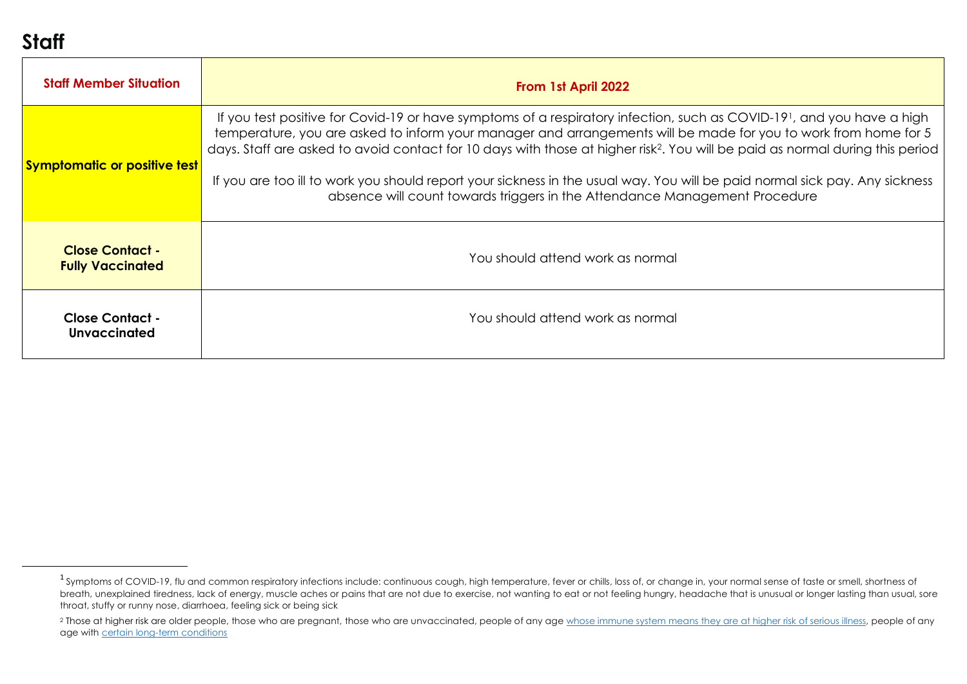# <span id="page-1-1"></span><span id="page-1-0"></span>**Staff**

| <b>Staff Member Situation</b>                     | From 1st April 2022                                                                                                                                                                                                                                                                                                                                                                                                                                                                                                                                                                                             |
|---------------------------------------------------|-----------------------------------------------------------------------------------------------------------------------------------------------------------------------------------------------------------------------------------------------------------------------------------------------------------------------------------------------------------------------------------------------------------------------------------------------------------------------------------------------------------------------------------------------------------------------------------------------------------------|
| <b>Symptomatic or positive test</b>               | If you test positive for Covid-19 or have symptoms of a respiratory infection, such as COVID-19 <sup>1</sup> , and you have a high<br>temperature, you are asked to inform your manager and arrangements will be made for you to work from home for 5<br>days. Staff are asked to avoid contact for 10 days with those at higher risk <sup>2</sup> . You will be paid as normal during this period<br>If you are too ill to work you should report your sickness in the usual way. You will be paid normal sick pay. Any sickness<br>absence will count towards triggers in the Attendance Management Procedure |
| <b>Close Contact -</b><br><b>Fully Vaccinated</b> | You should attend work as normal                                                                                                                                                                                                                                                                                                                                                                                                                                                                                                                                                                                |
| <b>Close Contact -</b><br>Unvaccinated            | You should attend work as normal                                                                                                                                                                                                                                                                                                                                                                                                                                                                                                                                                                                |

<sup>&</sup>lt;sup>1</sup> Symptoms of COVID-19, flu and common respiratory infections include: continuous cough, high temperature, fever or chills, loss of, or change in, your normal sense of taste or smell, shortness of breath, unexplained tiredness, lack of energy, muscle aches or pains that are not due to exercise, not wanting to eat or not feeling hungry, headache that is unusual or longer lasting than usual, sore throat, stuffy or runny nose, diarrhoea, feeling sick or being sick

<sup>&</sup>lt;sup>2</sup> Those at higher risk are older people, those who are pregnant, those who are unvaccinated, people of any age [whose immune system means they are at higher risk of serious illness,](https://www.gov.uk/government/publications/covid-19-guidance-for-people-whose-immune-system-means-they-are-at-higher-risk) people of any age with [certain long-term conditions](https://www.nhs.uk/conditions/coronavirus-covid-19/people-at-higher-risk/who-is-at-high-risk-from-coronavirus/)